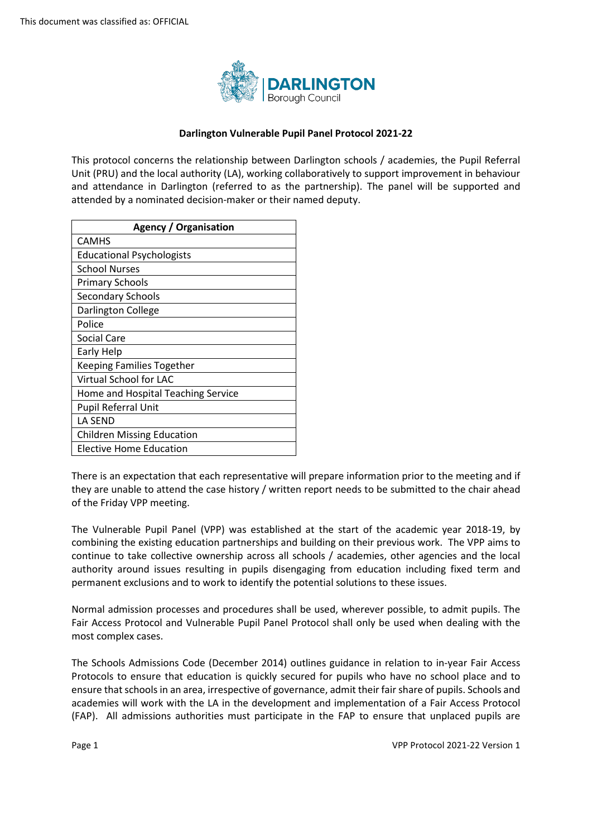

## **Darlington Vulnerable Pupil Panel Protocol 2021-22**

 This protocol concerns the relationship between Darlington schools / academies, the Pupil Referral Unit (PRU) and the local authority (LA), working collaboratively to support improvement in behaviour and attendance in Darlington (referred to as the partnership). The panel will be supported and attended by a nominated decision-maker or their named deputy.

| <b>Agency / Organisation</b>       |  |  |  |
|------------------------------------|--|--|--|
| <b>CAMHS</b>                       |  |  |  |
| <b>Educational Psychologists</b>   |  |  |  |
| School Nurses                      |  |  |  |
| <b>Primary Schools</b>             |  |  |  |
| <b>Secondary Schools</b>           |  |  |  |
| Darlington College                 |  |  |  |
| Police                             |  |  |  |
| Social Care                        |  |  |  |
| Early Help                         |  |  |  |
| <b>Keeping Families Together</b>   |  |  |  |
| Virtual School for LAC             |  |  |  |
| Home and Hospital Teaching Service |  |  |  |
| <b>Pupil Referral Unit</b>         |  |  |  |
| LA SEND                            |  |  |  |
| <b>Children Missing Education</b>  |  |  |  |
| Elective Home Education            |  |  |  |

 they are unable to attend the case history / written report needs to be submitted to the chair ahead There is an expectation that each representative will prepare information prior to the meeting and if of the Friday VPP meeting.

 combining the existing education partnerships and building on their previous work. The VPP aims to continue to take collective ownership across all schools / academies, other agencies and the local permanent exclusions and to work to identify the potential solutions to these issues. The Vulnerable Pupil Panel (VPP) was established at the start of the academic year 2018-19, by authority around issues resulting in pupils disengaging from education including fixed term and

 Normal admission processes and procedures shall be used, wherever possible, to admit pupils. The Fair Access Protocol and Vulnerable Pupil Panel Protocol shall only be used when dealing with the most complex cases.

 Protocols to ensure that education is quickly secured for pupils who have no school place and to (FAP). All admissions authorities must participate in the FAP to ensure that unplaced pupils are The Schools Admissions Code (December 2014) outlines guidance in relation to in-year Fair Access ensure that schools in an area, irrespective of governance, admit their fair share of pupils. Schools and academies will work with the LA in the development and implementation of a Fair Access Protocol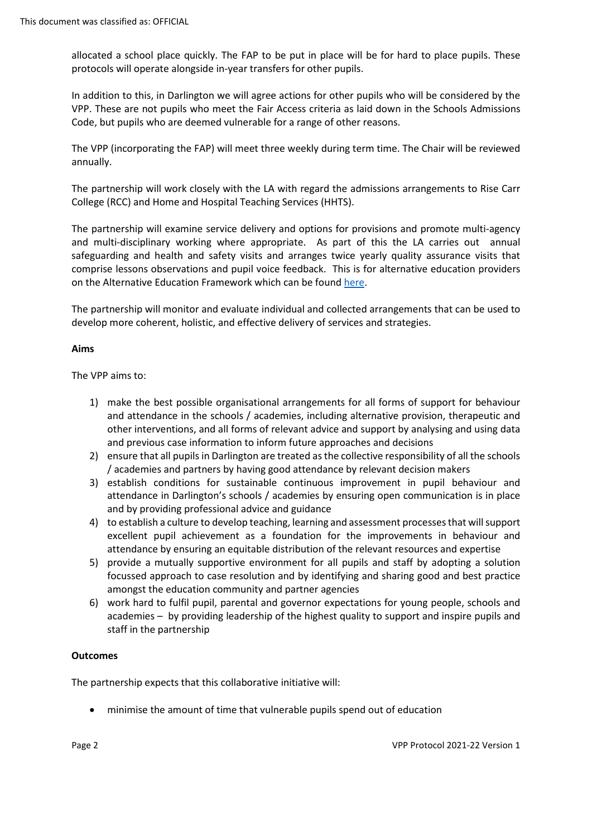allocated a school place quickly. The FAP to be put in place will be for hard to place pupils. These protocols will operate alongside in-year transfers for other pupils.

In addition to this, in Darlington we will agree actions for other pupils who will be considered by the VPP. These are not pupils who meet the Fair Access criteria as laid down in the Schools Admissions Code, but pupils who are deemed vulnerable for a range of other reasons.

 The VPP (incorporating the FAP) will meet three weekly during term time. The Chair will be reviewed annually.

 The partnership will work closely with the LA with regard the admissions arrangements to Rise Carr College (RCC) and Home and Hospital Teaching Services (HHTS).

 The partnership will examine service delivery and options for provisions and promote multi-agency and multi-disciplinary working where appropriate. As part of this the LA carries out annual safeguarding and health and safety visits and arranges twice yearly quality assurance visits that comprise lessons observations and pupil voice feedback. This is for alternative education providers on the Alternative Education Framework which can be found here.

The partnership will monitor and evaluate individual and collected arrangements that can be used to develop more coherent, holistic, and effective delivery of services and strategies.

## **Aims**

The VPP aims to:

- other interventions, and all forms of relevant advice and support by analysing and using data 1) make the best possible organisational arrangements for all forms of support for behaviour and attendance in the schools / academies, including alternative provision, therapeutic and and previous case information to inform future approaches and decisions
- / academies and partners by having good attendance by relevant decision makers 2) ensure that all pupils in Darlington are treated as the collective responsibility of all the schools
- 3) establish conditions for sustainable continuous improvement in pupil behaviour and attendance in Darlington's schools / academies by ensuring open communication is in place and by providing professional advice and guidance
- 4) to establish a culture to develop teaching, learning and assessment processes that will support attendance by ensuring an equitable distribution of the relevant resources and expertise excellent pupil achievement as a foundation for the improvements in behaviour and
- 5) provide a mutually supportive environment for all pupils and staff by adopting a solution focussed approach to case resolution and by identifying and sharing good and best practice amongst the education community and partner agencies
- 6) work hard to fulfil pupil, parental and governor expectations for young people, schools and academies – by providing leadership of the highest quality to support and inspire pupils and staff in the partnership

# **Outcomes**

The partnership expects that this collaborative initiative will:

• minimise the amount of time that vulnerable pupils spend out of education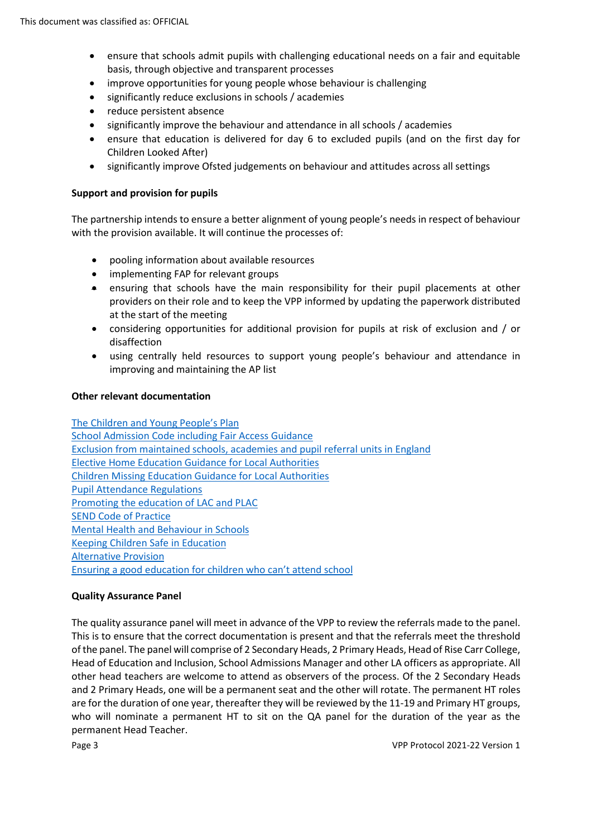- • ensure that schools admit pupils with challenging educational needs on a fair and equitable basis, through objective and transparent processes
- improve opportunities for young people whose behaviour is challenging
- significantly reduce exclusions in schools / academies
- reduce persistent absence
- significantly improve the behaviour and attendance in all schools / academies
- • ensure that education is delivered for day 6 to excluded pupils (and on the first day for Children Looked After)
- significantly improve Ofsted judgements on behaviour and attitudes across all settings

#### **Support and provision for pupils**

 The partnership intends to ensure a better alignment of young people's needs in respect of behaviour with the provision available. It will continue the processes of:

- pooling information about available resources
- implementing FAP for relevant groups
- • ensuring that schools have the main responsibility for their pupil placements at other at the start of the meeting providers on their role and to keep the VPP informed by updating the paperwork distributed
- • considering opportunities for additional provision for pupils at risk of exclusion and / or disaffection
- improving and maintaining the AP list • using centrally held resources to support young people's behaviour and attendance in

#### **Other relevant documentation**

**School Admission Code including Fair Access Guidance** School Admission Code including Fair Access Guidance<br>Exclusion from maintained schools, academies and pupil referral units in England Promoting the education of LAC and PLAC [Ensuring a good education for children who can't attend school](https://www.gov.uk/government/publications/education-for-children-with-health-needs-who-cannot-attend-school)  [The Children and Young People's Plan](https://www.darlington.gov.uk/education-and-learning/children-and-young-peoples-plan/)  [Elective Home Education Guidance for Local Authorities](https://assets.publishing.service.gov.uk/government/uploads/system/uploads/attachment_data/file/791527/Elective_home_education_gudiance_for_LAv2.0.pdf)  [Children Missing Education Guidance for Local Authorities](https://www.gov.uk/government/publications/children-missing-education)  [Pupil Attendance Regulations](https://www.gov.uk/government/publications/school-attendance)  [SEND Code of Practice](https://assets.publishing.service.gov.uk/government/uploads/system/uploads/attachment_data/file/398815/SEND_Code_of_Practice_January_2015.pdf)  [Mental Health and Behaviour in Schools](https://assets.publishing.service.gov.uk/government/uploads/system/uploads/attachment_data/file/755135/Mental_health_and_behaviour_in_schools__.pdf)  [Keeping Children Safe in Education](https://www.gov.uk/government/publications/keeping-children-safe-in-education--2)  [Alternative Provision](https://www.gov.uk/government/publications/alternative-provision) 

#### **Quality Assurance Panel**

 The quality assurance panel will meet in advance of the VPP to review the referrals made to the panel. of the panel. The panel will comprise of 2 Secondary Heads, 2 Primary Heads, Head of Rise Carr College, Head of Education and Inclusion, School Admissions Manager and other LA officers as appropriate. All other head teachers are welcome to attend as observers of the process. Of the 2 Secondary Heads who will nominate a permanent HT to sit on the QA panel for the duration of the year as the permanent Head Teacher. This is to ensure that the correct documentation is present and that the referrals meet the threshold and 2 Primary Heads, one will be a permanent seat and the other will rotate. The permanent HT roles are for the duration of one year, thereafter they will be reviewed by the 11-19 and Primary HT groups,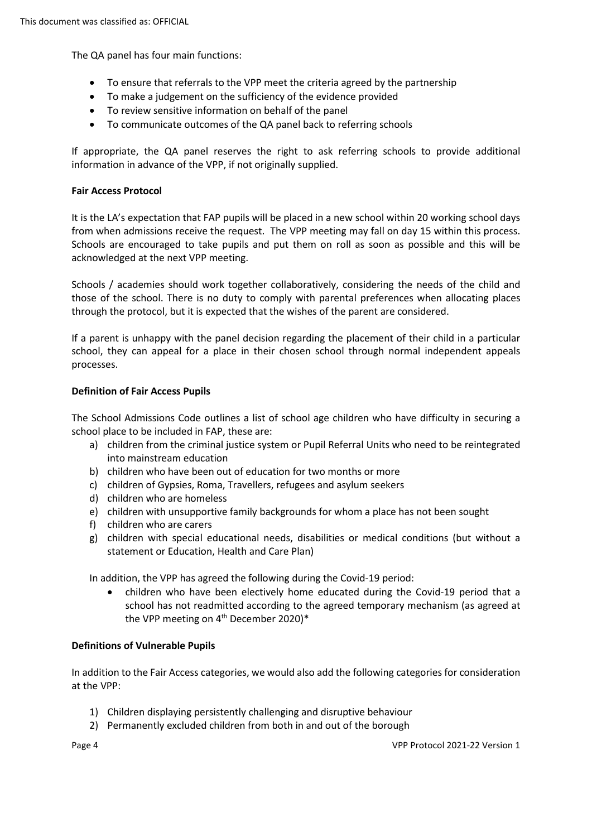The QA panel has four main functions:

- To ensure that referrals to the VPP meet the criteria agreed by the partnership
- To make a judgement on the sufficiency of the evidence provided
- To review sensitive information on behalf of the panel
- To communicate outcomes of the QA panel back to referring schools

If appropriate, the QA panel reserves the right to ask referring schools to provide additional information in advance of the VPP, if not originally supplied.

### **Fair Access Protocol**

from when admissions receive the request. The VPP meeting may fall on day 15 within this process. It is the LA's expectation that FAP pupils will be placed in a new school within 20 working school days Schools are encouraged to take pupils and put them on roll as soon as possible and this will be acknowledged at the next VPP meeting.

 Schools / academies should work together collaboratively, considering the needs of the child and those of the school. There is no duty to comply with parental preferences when allocating places through the protocol, but it is expected that the wishes of the parent are considered.

If a parent is unhappy with the panel decision regarding the placement of their child in a particular school, they can appeal for a place in their chosen school through normal independent appeals processes.

## **Definition of Fair Access Pupils**

The School Admissions Code outlines a list of school age children who have difficulty in securing a school place to be included in FAP, these are:

- a) children from the criminal justice system or Pupil Referral Units who need to be reintegrated into mainstream education
- b) children who have been out of education for two months or more
- c) children of Gypsies, Roma, Travellers, refugees and asylum seekers
- d) children who are homeless
- e) children with unsupportive family backgrounds for whom a place has not been sought
- f) children who are carers
- g) children with special educational needs, disabilities or medical conditions (but without a statement or Education, Health and Care Plan)

In addition, the VPP has agreed the following during the Covid-19 period:

• children who have been electively home educated during the Covid-19 period that a school has not readmitted according to the agreed temporary mechanism (as agreed at the VPP meeting on  $4<sup>th</sup>$  December 2020)\*

#### **Definitions of Vulnerable Pupils**

 In addition to the Fair Access categories, we would also add the following categories for consideration at the VPP:

- 1) Children displaying persistently challenging and disruptive behaviour
- 2) Permanently excluded children from both in and out of the borough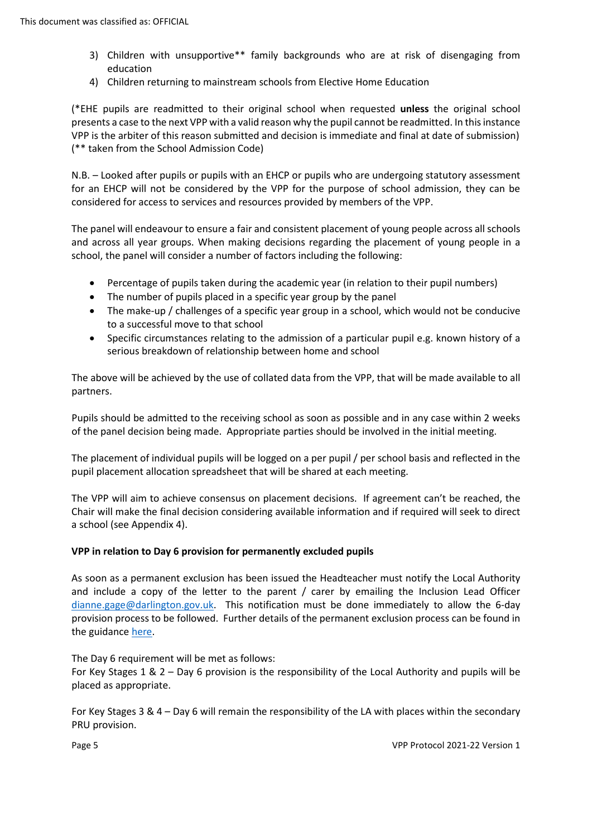- 3) Children with unsupportive\*\* family backgrounds who are at risk of disengaging from education
- 4) Children returning to mainstream schools from Elective Home Education

 VPP is the arbiter of this reason submitted and decision is immediate and final at date of submission) (\*EHE pupils are readmitted to their original school when requested **unless** the original school presents a case to the next VPP with a valid reason why the pupil cannot be readmitted. In this instance (\*\* taken from the School Admission Code)

 N.B. – Looked after pupils or pupils with an EHCP or pupils who are undergoing statutory assessment for an EHCP will not be considered by the VPP for the purpose of school admission, they can be considered for access to services and resources provided by members of the VPP.

 The panel will endeavour to ensure a fair and consistent placement of young people across all schools and across all year groups. When making decisions regarding the placement of young people in a school, the panel will consider a number of factors including the following:

- Percentage of pupils taken during the academic year (in relation to their pupil numbers)
- The number of pupils placed in a specific year group by the panel
- • The make-up / challenges of a specific year group in a school, which would not be conducive to a successful move to that school
- • Specific circumstances relating to the admission of a particular pupil e.g. known history of a serious breakdown of relationship between home and school

 The above will be achieved by the use of collated data from the VPP, that will be made available to all partners.

 Pupils should be admitted to the receiving school as soon as possible and in any case within 2 weeks of the panel decision being made. Appropriate parties should be involved in the initial meeting.

 The placement of individual pupils will be logged on a per pupil / per school basis and reflected in the pupil placement allocation spreadsheet that will be shared at each meeting.

 Chair will make the final decision considering available information and if required will seek to direct The VPP will aim to achieve consensus on placement decisions. If agreement can't be reached, the a school (see Appendix 4).

# **VPP in relation to Day 6 provision for permanently excluded pupils**

 and include a copy of the letter to the parent / carer by emailing the Inclusion Lead Officer As soon as a permanent exclusion has been issued the Headteacher must notify the Local Authority [dianne.gage@darlington.gov.uk.](mailto:dianne.gage@darlington.gov.uk) This notification must be done immediately to allow the 6-day provision process to be followed. Further details of the permanent exclusion process can be found in the guidance [here.](https://www.gov.uk/government/publications/school-exclusion)

 The Day 6 requirement will be met as follows: For Key Stages 1 & 2 – Day 6 provision is the responsibility of the Local Authority and pupils will be placed as appropriate.

 For Key Stages 3 & 4 – Day 6 will remain the responsibility of the LA with places within the secondary PRU provision.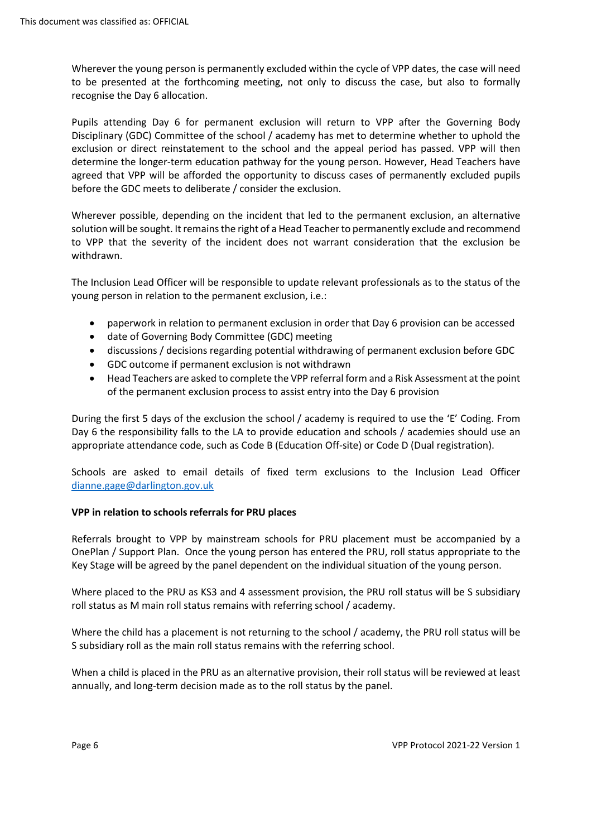Wherever the young person is permanently excluded within the cycle of VPP dates, the case will need to be presented at the forthcoming meeting, not only to discuss the case, but also to formally recognise the Day 6 allocation.

 exclusion or direct reinstatement to the school and the appeal period has passed. VPP will then before the GDC meets to deliberate / consider the exclusion. Pupils attending Day 6 for permanent exclusion will return to VPP after the Governing Body Disciplinary (GDC) Committee of the school / academy has met to determine whether to uphold the determine the longer-term education pathway for the young person. However, Head Teachers have agreed that VPP will be afforded the opportunity to discuss cases of permanently excluded pupils

 to VPP that the severity of the incident does not warrant consideration that the exclusion be Wherever possible, depending on the incident that led to the permanent exclusion, an alternative solution will be sought. It remains the right of a Head Teacher to permanently exclude and recommend withdrawn.

The Inclusion Lead Officer will be responsible to update relevant professionals as to the status of the young person in relation to the permanent exclusion, i.e.:

- paperwork in relation to permanent exclusion in order that Day 6 provision can be accessed
- date of Governing Body Committee (GDC) meeting
- discussions / decisions regarding potential withdrawing of permanent exclusion before GDC
- GDC outcome if permanent exclusion is not withdrawn
- • Head Teachers are asked to complete the VPP referral form and a Risk Assessment at the point of the permanent exclusion process to assist entry into the Day 6 provision

 Day 6 the responsibility falls to the LA to provide education and schools / academies should use an appropriate attendance code, such as Code B (Education Off-site) or Code D (Dual registration). During the first 5 days of the exclusion the school / academy is required to use the 'E' Coding. From

Schools are asked to email details of fixed term exclusions to the Inclusion Lead Officer [dianne.gage@darlington.gov.uk](mailto:dianne.gage@darlington.gov.uk) 

#### **VPP in relation to schools referrals for PRU places**

 OnePlan / Support Plan. Once the young person has entered the PRU, roll status appropriate to the Key Stage will be agreed by the panel dependent on the individual situation of the young person. Referrals brought to VPP by mainstream schools for PRU placement must be accompanied by a

 roll status as M main roll status remains with referring school / academy. Where placed to the PRU as KS3 and 4 assessment provision, the PRU roll status will be S subsidiary

Where the child has a placement is not returning to the school / academy, the PRU roll status will be S subsidiary roll as the main roll status remains with the referring school.

 annually, and long-term decision made as to the roll status by the panel. When a child is placed in the PRU as an alternative provision, their roll status will be reviewed at least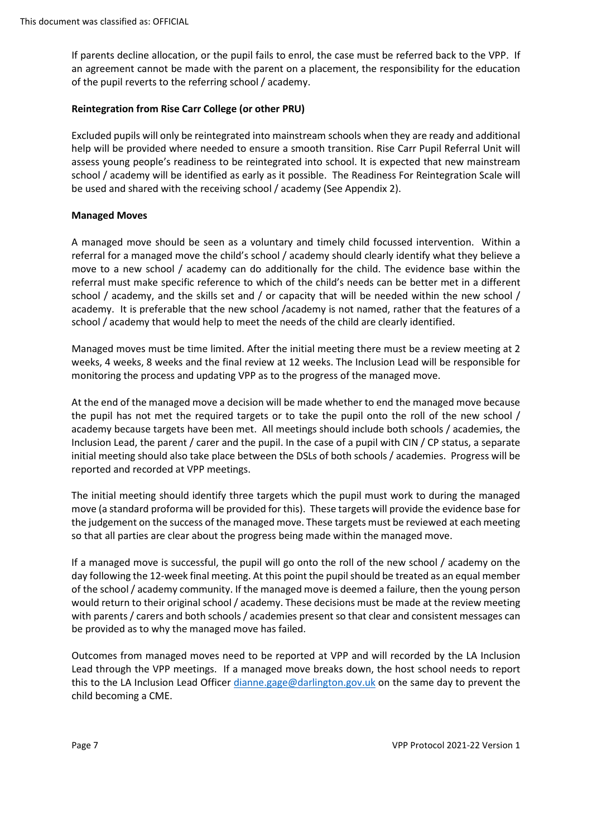If parents decline allocation, or the pupil fails to enrol, the case must be referred back to the VPP. If an agreement cannot be made with the parent on a placement, the responsibility for the education of the pupil reverts to the referring school / academy.

## **Reintegration from Rise Carr College (or other PRU)**

 Excluded pupils will only be reintegrated into mainstream schools when they are ready and additional help will be provided where needed to ensure a smooth transition. Rise Carr Pupil Referral Unit will school / academy will be identified as early as it possible. The Readiness For Reintegration Scale will assess young people's readiness to be reintegrated into school. It is expected that new mainstream be used and shared with the receiving school / academy (See Appendix 2).

### **Managed Moves**

 A managed move should be seen as a voluntary and timely child focussed intervention. Within a school / academy, and the skills set and / or capacity that will be needed within the new school / school / academy that would help to meet the needs of the child are clearly identified. referral for a managed move the child's school / academy should clearly identify what they believe a move to a new school / academy can do additionally for the child. The evidence base within the referral must make specific reference to which of the child's needs can be better met in a different academy. It is preferable that the new school /academy is not named, rather that the features of a

 weeks, 4 weeks, 8 weeks and the final review at 12 weeks. The Inclusion Lead will be responsible for monitoring the process and updating VPP as to the progress of the managed move. Managed moves must be time limited. After the initial meeting there must be a review meeting at 2

 At the end of the managed move a decision will be made whether to end the managed move because the pupil has not met the required targets or to take the pupil onto the roll of the new school / academy because targets have been met. All meetings should include both schools / academies, the Inclusion Lead, the parent / carer and the pupil. In the case of a pupil with CIN / CP status, a separate initial meeting should also take place between the DSLs of both schools / academies. Progress will be reported and recorded at VPP meetings.

reported and recorded at VPP meetings.<br>The initial meeting should identify three targets which the pupil must work to during the managed move (a standard proforma will be provided for this). These targets will provide the evidence base for so that all parties are clear about the progress being made within the managed move. the judgement on the success of the managed move. These targets must be reviewed at each meeting

 If a managed move is successful, the pupil will go onto the roll of the new school / academy on the day following the 12-week final meeting. At this point the pupil should be treated as an equal member of the school / academy community. If the managed move is deemed a failure, then the young person would return to their original school / academy. These decisions must be made at the review meeting with parents / carers and both schools / academies present so that clear and consistent messages can be provided as to why the managed move has failed.

 Outcomes from managed moves need to be reported at VPP and will recorded by the LA Inclusion Lead through the VPP meetings. If a managed move breaks down, the host school needs to report this to the LA Inclusion Lead Officer [dianne.gage@darlington.gov.uk](mailto:dianne.gage@darlington.gov.uk) on the same day to prevent the child becoming a CME.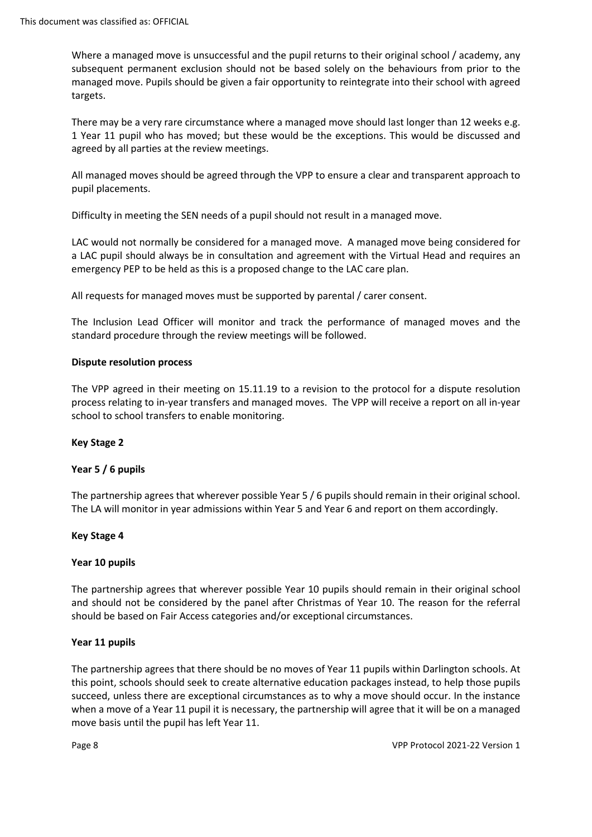Where a managed move is unsuccessful and the pupil returns to their original school / academy, any subsequent permanent exclusion should not be based solely on the behaviours from prior to the managed move. Pupils should be given a fair opportunity to reintegrate into their school with agreed targets.

 There may be a very rare circumstance where a managed move should last longer than 12 weeks e.g. 1 Year 11 pupil who has moved; but these would be the exceptions. This would be discussed and agreed by all parties at the review meetings.

 All managed moves should be agreed through the VPP to ensure a clear and transparent approach to pupil placements.

Difficulty in meeting the SEN needs of a pupil should not result in a managed move.

 LAC would not normally be considered for a managed move. A managed move being considered for emergency PEP to be held as this is a proposed change to the LAC care plan. a LAC pupil should always be in consultation and agreement with the Virtual Head and requires an

All requests for managed moves must be supported by parental / carer consent.

The Inclusion Lead Officer will monitor and track the performance of managed moves and the standard procedure through the review meetings will be followed.

## **Dispute resolution process**

 The VPP agreed in their meeting on [15.11.19](https://15.11.19) to a revision to the protocol for a dispute resolution process relating to in-year transfers and managed moves. The VPP will receive a report on all in-year school to school transfers to enable monitoring.

# **Key Stage 2**

#### **Year 5 / 6 pupils**

 The partnership agrees that wherever possible Year 5 / 6 pupils should remain in their original school. The LA will monitor in year admissions within Year 5 and Year 6 and report on them accordingly.

#### **Key Stage 4**

#### **Year 10 pupils**

 and should not be considered by the panel after Christmas of Year 10. The reason for the referral The partnership agrees that wherever possible Year 10 pupils should remain in their original school should be based on Fair Access categories and/or exceptional circumstances.

#### **Year 11 pupils**

 succeed, unless there are exceptional circumstances as to why a move should occur. In the instance when a move of a Year 11 pupil it is necessary, the partnership will agree that it will be on a managed move basis until the pupil has left Year 11. The partnership agrees that there should be no moves of Year 11 pupils within Darlington schools. At this point, schools should seek to create alternative education packages instead, to help those pupils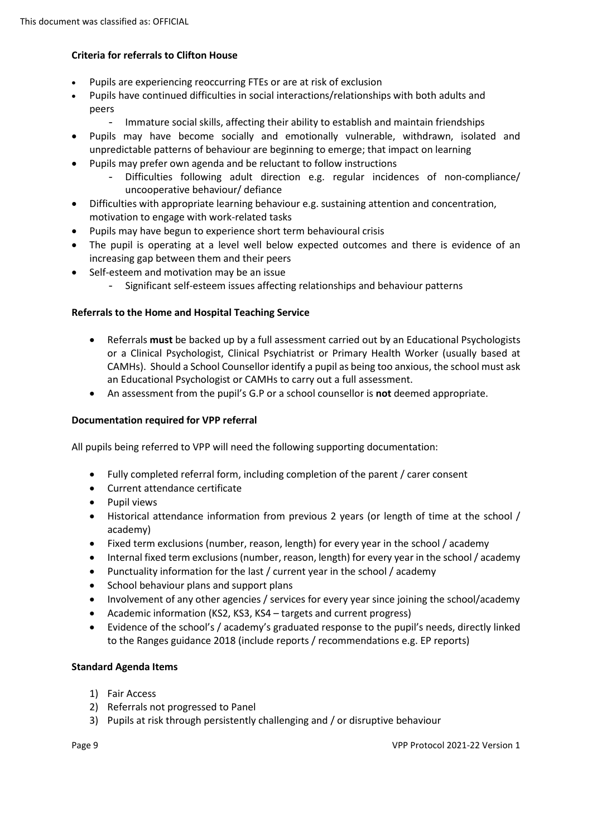# **Criteria for referrals to Clifton House**

- Pupils are experiencing reoccurring FTEs or are at risk of exclusion
- peers • Pupils have continued difficulties in social interactions/relationships with both adults and
	- Immature social skills, affecting their ability to establish and maintain friendships
- Pupils may have become socially and emotionally vulnerable, withdrawn, isolated and unpredictable patterns of behaviour are beginning to emerge; that impact on learning
- Pupils may prefer own agenda and be reluctant to follow instructions
	- Difficulties following adult direction e.g. regular incidences of non-compliance/ uncooperative behaviour/ defiance
- Difficulties with appropriate learning behaviour e.g. sustaining attention and concentration, motivation to engage with work-related tasks
- Pupils may have begun to experience short term behavioural crisis
- • The pupil is operating at a level well below expected outcomes and there is evidence of an increasing gap between them and their peers
- Self-esteem and motivation may be an issue
	- Significant self-esteem issues affecting relationships and behaviour patterns

## **Referrals to the Home and Hospital Teaching Service**

- an Educational Psychologist or CAMHs to carry out a full assessment. • Referrals **must** be backed up by a full assessment carried out by an Educational Psychologists or a Clinical Psychologist, Clinical Psychiatrist or Primary Health Worker (usually based at CAMHs). Should a School Counsellor identify a pupil as being too anxious, the school must ask
- An assessment from the pupil's G.P or a school counsellor is **not** deemed appropriate.

### **Documentation required for VPP referral**

All pupils being referred to VPP will need the following supporting documentation:

- Fully completed referral form, including completion of the parent / carer consent
- Current attendance certificate
- Pupil views
- • Historical attendance information from previous 2 years (or length of time at the school / academy)
- Fixed term exclusions (number, reason, length) for every year in the school / academy
- Internal fixed term exclusions (number, reason, length) for every year in the school / academy
- Punctuality information for the last / current year in the school / academy
- School behaviour plans and support plans
- Involvement of any other agencies / services for every year since joining the school/academy
- Academic information (KS2, KS3, KS4 targets and current progress)
- • Evidence of the school's / academy's graduated response to the pupil's needs, directly linked to the Ranges guidance 2018 (include reports / recommendations e.g. EP reports)

#### **Standard Agenda Items**

- 1) Fair Access
- 2) Referrals not progressed to Panel
- 3) Pupils at risk through persistently challenging and / or disruptive behaviour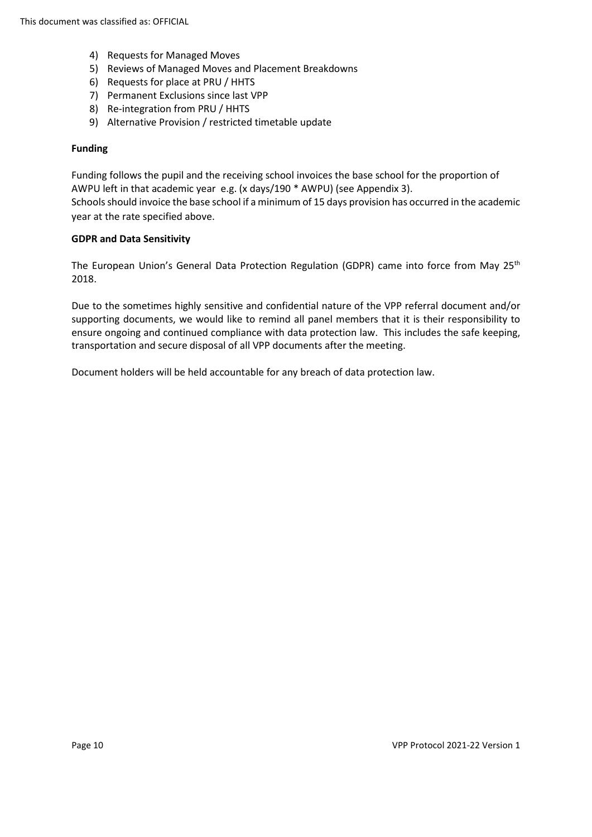- 4) Requests for Managed Moves
- 5) Reviews of Managed Moves and Placement Breakdowns
- 6) Requests for place at PRU / HHTS
- 7) Permanent Exclusions since last VPP
- 8) Re-integration from PRU / HHTS
- 9) Alternative Provision / restricted timetable update

#### **Funding**

 Schools should invoice the base school if a minimum of 15 days provision has occurred in the academic Funding follows the pupil and the receiving school invoices the base school for the proportion of AWPU left in that academic year e.g. (x days/190 \* AWPU) (see Appendix 3). year at the rate specified above.

#### **GDPR and Data Sensitivity**

The European Union's General Data Protection Regulation (GDPR) came into force from May 25<sup>th</sup> 2018.

 ensure ongoing and continued compliance with data protection law. This includes the safe keeping, transportation and secure disposal of all VPP documents after the meeting. Due to the sometimes highly sensitive and confidential nature of the VPP referral document and/or supporting documents, we would like to remind all panel members that it is their responsibility to

Document holders will be held accountable for any breach of data protection law.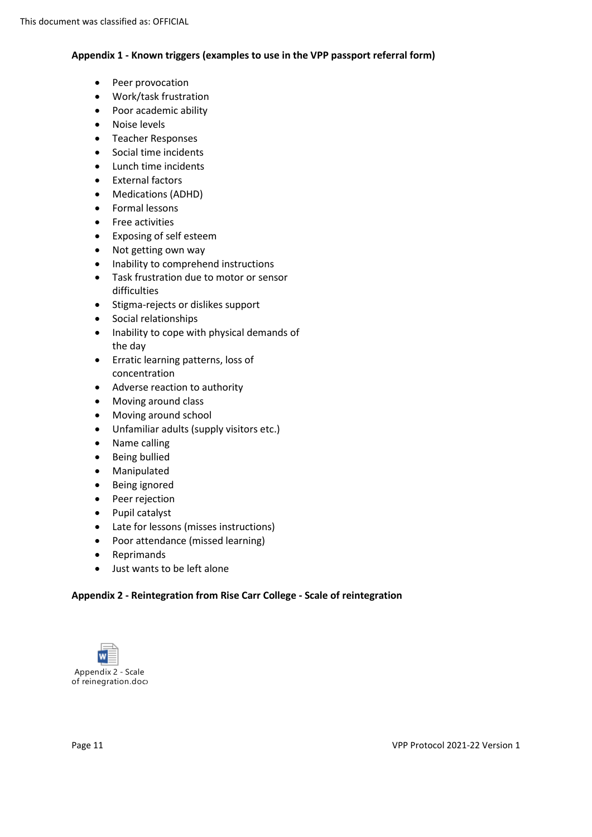# **Appendix 1 - Known triggers (examples to use in the VPP passport referral form)**

- Peer provocation
- Work/task frustration
- Poor academic ability
- Noise levels
- Teacher Responses
- Social time incidents
- Lunch time incidents
- External factors
- Medications (ADHD)
- Formal lessons
- Free activities
- Exposing of self esteem
- Not getting own way
- Inability to comprehend instructions
- Task frustration due to motor or sensor difficulties
- Stigma-rejects or dislikes support
- Social relationships
- Inability to cope with physical demands of the day
- Erratic learning patterns, loss of concentration
- Adverse reaction to authority
- Moving around class
- Moving around school
- Unfamiliar adults (supply visitors etc.)
- Name calling
- Being bullied
- Manipulated
- Being ignored
- Peer rejection
- Pupil catalyst
- Late for lessons (misses instructions)
- Poor attendance (missed learning)
- Reprimands
- Just wants to be left alone

# **Appendix 2 - Reintegration from Rise Carr College - Scale of reintegration**

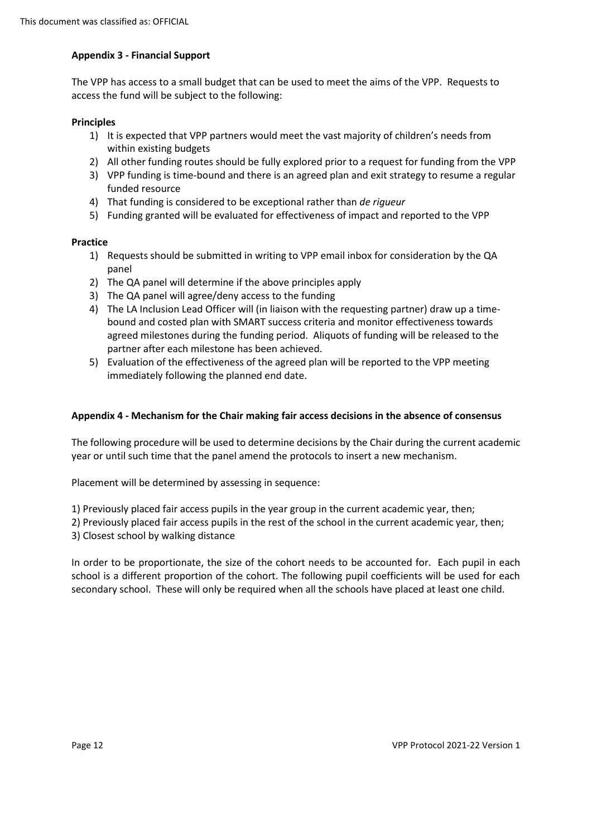## **Appendix 3 - Financial Support**

 The VPP has access to a small budget that can be used to meet the aims of the VPP. Requests to access the fund will be subject to the following:

#### **Principles**

- 1) It is expected that VPP partners would meet the vast majority of children's needs from within existing budgets
- 2) All other funding routes should be fully explored prior to a request for funding from the VPP
- 3) VPP funding is time-bound and there is an agreed plan and exit strategy to resume a regular funded resource
- 4) That funding is considered to be exceptional rather than *de rigueur*
- 5) Funding granted will be evaluated for effectiveness of impact and reported to the VPP

## **Practice**

- 1) Requests should be submitted in writing to VPP email inbox for consideration by the QA panel
- 2) The QA panel will determine if the above principles apply
- 3) The QA panel will agree/deny access to the funding
- 4) The LA Inclusion Lead Officer will (in liaison with the requesting partner) draw up a time- bound and costed plan with SMART success criteria and monitor effectiveness towards agreed milestones during the funding period. Aliquots of funding will be released to the partner after each milestone has been achieved.
- 5) Evaluation of the effectiveness of the agreed plan will be reported to the VPP meeting immediately following the planned end date.

#### **Appendix 4 - Mechanism for the Chair making fair access decisions in the absence of consensus**

 The following procedure will be used to determine decisions by the Chair during the current academic year or until such time that the panel amend the protocols to insert a new mechanism.

Placement will be determined by assessing in sequence:

1) Previously placed fair access pupils in the year group in the current academic year, then;

 2) Previously placed fair access pupils in the rest of the school in the current academic year, then; 3) Closest school by walking distance

3) Closest school by walking distance<br>In order to be proportionate, the size of the cohort needs to be accounted for. Each pupil in each school is a different proportion of the cohort. The following pupil coefficients will be used for each secondary school. These will only be required when all the schools have placed at least one child.